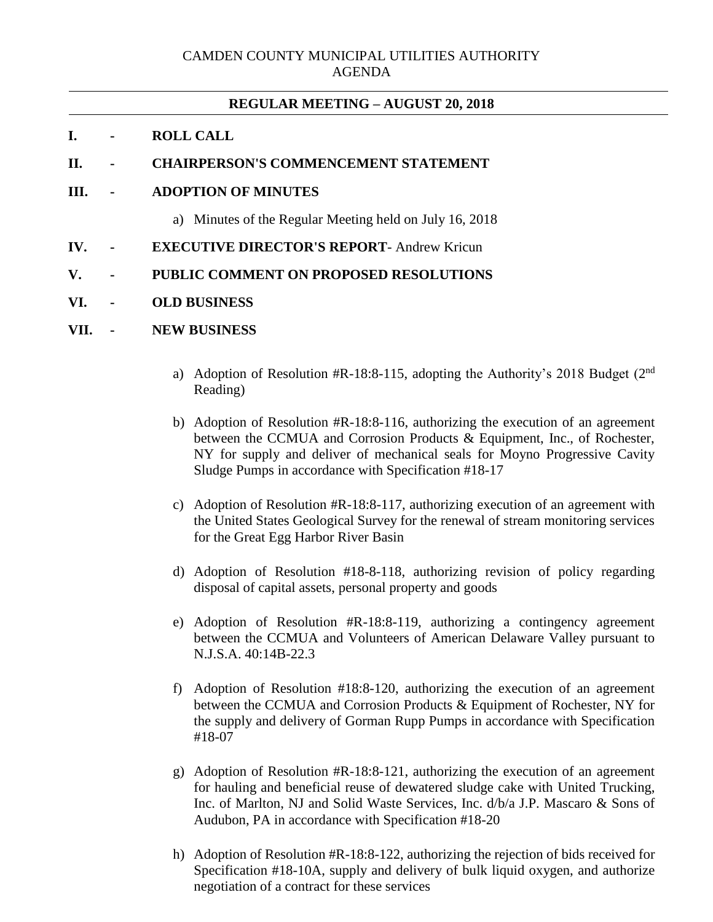# **REGULAR MEETING – AUGUST 20, 2018**

# **I. - ROLL CALL**

### **II. - CHAIRPERSON'S COMMENCEMENT STATEMENT**

### **III. - ADOPTION OF MINUTES**

- a) Minutes of the Regular Meeting held on July 16, 2018
- **IV. - EXECUTIVE DIRECTOR'S REPORT** Andrew Kricun
- **V. - PUBLIC COMMENT ON PROPOSED RESOLUTIONS**

#### **VI. - OLD BUSINESS**

#### **VII. - NEW BUSINESS**

- a) Adoption of Resolution #R-18:8-115, adopting the Authority's 2018 Budget  $(2<sup>nd</sup>$ Reading)
- b) Adoption of Resolution #R-18:8-116, authorizing the execution of an agreement between the CCMUA and Corrosion Products & Equipment, Inc., of Rochester, NY for supply and deliver of mechanical seals for Moyno Progressive Cavity Sludge Pumps in accordance with Specification #18-17
- c) Adoption of Resolution #R-18:8-117, authorizing execution of an agreement with the United States Geological Survey for the renewal of stream monitoring services for the Great Egg Harbor River Basin
- d) Adoption of Resolution #18-8-118, authorizing revision of policy regarding disposal of capital assets, personal property and goods
- e) Adoption of Resolution #R-18:8-119, authorizing a contingency agreement between the CCMUA and Volunteers of American Delaware Valley pursuant to N.J.S.A. 40:14B-22.3
- f) Adoption of Resolution #18:8-120, authorizing the execution of an agreement between the CCMUA and Corrosion Products & Equipment of Rochester, NY for the supply and delivery of Gorman Rupp Pumps in accordance with Specification #18-07
- g) Adoption of Resolution #R-18:8-121, authorizing the execution of an agreement for hauling and beneficial reuse of dewatered sludge cake with United Trucking, Inc. of Marlton, NJ and Solid Waste Services, Inc. d/b/a J.P. Mascaro & Sons of Audubon, PA in accordance with Specification #18-20
- h) Adoption of Resolution #R-18:8-122, authorizing the rejection of bids received for Specification #18-10A, supply and delivery of bulk liquid oxygen, and authorize negotiation of a contract for these services